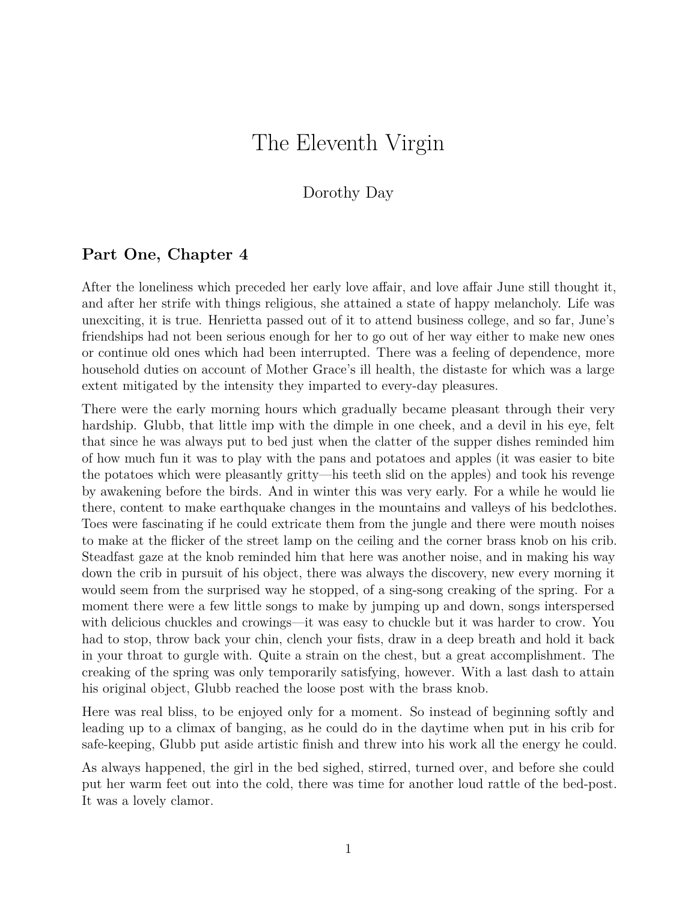## The Eleventh Virgin

## Dorothy Day

## **Part One, Chapter 4**

After the loneliness which preceded her early love affair, and love affair June still thought it, and after her strife with things religious, she attained a state of happy melancholy. Life was unexciting, it is true. Henrietta passed out of it to attend business college, and so far, June's friendships had not been serious enough for her to go out of her way either to make new ones or continue old ones which had been interrupted. There was a feeling of dependence, more household duties on account of Mother Grace's ill health, the distaste for which was a large extent mitigated by the intensity they imparted to every-day pleasures.

There were the early morning hours which gradually became pleasant through their very hardship. Glubb, that little imp with the dimple in one cheek, and a devil in his eye, felt that since he was always put to bed just when the clatter of the supper dishes reminded him of how much fun it was to play with the pans and potatoes and apples (it was easier to bite the potatoes which were pleasantly gritty—his teeth slid on the apples) and took his revenge by awakening before the birds. And in winter this was very early. For a while he would lie there, content to make earthquake changes in the mountains and valleys of his bedclothes. Toes were fascinating if he could extricate them from the jungle and there were mouth noises to make at the flicker of the street lamp on the ceiling and the corner brass knob on his crib. Steadfast gaze at the knob reminded him that here was another noise, and in making his way down the crib in pursuit of his object, there was always the discovery, new every morning it would seem from the surprised way he stopped, of a sing-song creaking of the spring. For a moment there were a few little songs to make by jumping up and down, songs interspersed with delicious chuckles and crowings—it was easy to chuckle but it was harder to crow. You had to stop, throw back your chin, clench your fists, draw in a deep breath and hold it back in your throat to gurgle with. Quite a strain on the chest, but a great accomplishment. The creaking of the spring was only temporarily satisfying, however. With a last dash to attain his original object, Glubb reached the loose post with the brass knob.

Here was real bliss, to be enjoyed only for a moment. So instead of beginning softly and leading up to a climax of banging, as he could do in the daytime when put in his crib for safe-keeping, Glubb put aside artistic finish and threw into his work all the energy he could.

As always happened, the girl in the bed sighed, stirred, turned over, and before she could put her warm feet out into the cold, there was time for another loud rattle of the bed-post. It was a lovely clamor.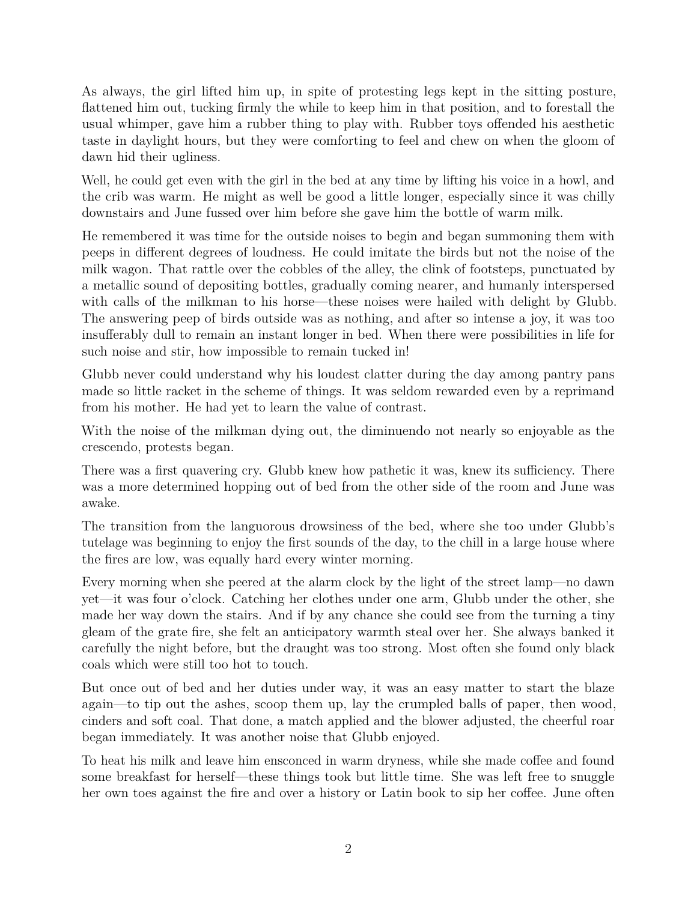As always, the girl lifted him up, in spite of protesting legs kept in the sitting posture, flattened him out, tucking firmly the while to keep him in that position, and to forestall the usual whimper, gave him a rubber thing to play with. Rubber toys offended his aesthetic taste in daylight hours, but they were comforting to feel and chew on when the gloom of dawn hid their ugliness.

Well, he could get even with the girl in the bed at any time by lifting his voice in a howl, and the crib was warm. He might as well be good a little longer, especially since it was chilly downstairs and June fussed over him before she gave him the bottle of warm milk.

He remembered it was time for the outside noises to begin and began summoning them with peeps in different degrees of loudness. He could imitate the birds but not the noise of the milk wagon. That rattle over the cobbles of the alley, the clink of footsteps, punctuated by a metallic sound of depositing bottles, gradually coming nearer, and humanly interspersed with calls of the milkman to his horse—these noises were hailed with delight by Glubb. The answering peep of birds outside was as nothing, and after so intense a joy, it was too insufferably dull to remain an instant longer in bed. When there were possibilities in life for such noise and stir, how impossible to remain tucked in!

Glubb never could understand why his loudest clatter during the day among pantry pans made so little racket in the scheme of things. It was seldom rewarded even by a reprimand from his mother. He had yet to learn the value of contrast.

With the noise of the milkman dying out, the diminuendo not nearly so enjoyable as the crescendo, protests began.

There was a first quavering cry. Glubb knew how pathetic it was, knew its sufficiency. There was a more determined hopping out of bed from the other side of the room and June was awake.

The transition from the languorous drowsiness of the bed, where she too under Glubb's tutelage was beginning to enjoy the first sounds of the day, to the chill in a large house where the fires are low, was equally hard every winter morning.

Every morning when she peered at the alarm clock by the light of the street lamp—no dawn yet—it was four o'clock. Catching her clothes under one arm, Glubb under the other, she made her way down the stairs. And if by any chance she could see from the turning a tiny gleam of the grate fire, she felt an anticipatory warmth steal over her. She always banked it carefully the night before, but the draught was too strong. Most often she found only black coals which were still too hot to touch.

But once out of bed and her duties under way, it was an easy matter to start the blaze again—to tip out the ashes, scoop them up, lay the crumpled balls of paper, then wood, cinders and soft coal. That done, a match applied and the blower adjusted, the cheerful roar began immediately. It was another noise that Glubb enjoyed.

To heat his milk and leave him ensconced in warm dryness, while she made coffee and found some breakfast for herself—these things took but little time. She was left free to snuggle her own toes against the fire and over a history or Latin book to sip her coffee. June often